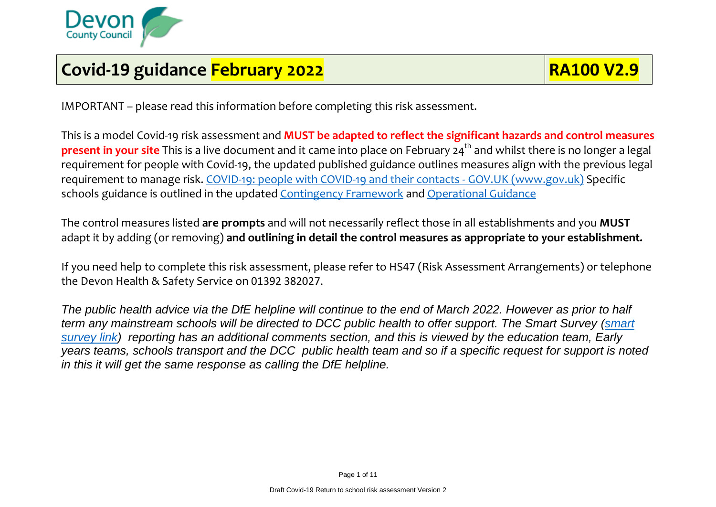

## **Covid-19** guidance February 2022 **RA100 V2.9**

IMPORTANT – please read this information before completing this risk assessment.

This is a model Covid-19 risk assessment and **MUST be adapted to reflect the significant hazards and control measures present in your site** This is a live document and it came into place on February 24<sup>th</sup> and whilst there is no longer a legal requirement for people with Covid-19, the updated published guidance outlines measures align with the previous legal requirement to manage risk. [COVID-19: people with COVID-19 and their contacts -](https://www.gov.uk/government/publications/covid-19-people-with-covid-19-and-their-contacts/covid-19-people-with-covid-19-and-their-contacts) GOV.UK (www.gov.uk) Specific schools guidance is outlined in the updated [Contingency Framework](https://assets.publishing.service.gov.uk/government/uploads/system/uploads/attachment_data/file/1057141/Contingency_framework_education_and_childcare_settings_February_2022.pdf) and [Operational Guidance](https://www.gov.uk/government/publications/actions-for-schools-during-the-coronavirus-outbreak)

The control measures listed **are prompts** and will not necessarily reflect those in all establishments and you **MUST** adapt it by adding (or removing) **and outlining in detail the control measures as appropriate to your establishment.**

If you need help to complete this risk assessment, please refer to HS47 (Risk Assessment Arrangements) or telephone the Devon Health & Safety Service on 01392 382027.

*The public health advice via the DfE helpline will continue to the end of March 2022. However as prior to half term any mainstream schools will be directed to DCC public health to offer support. The Smart Survey [\(smart](https://www.smartsurvey.co.uk/s/Covid19NotificationTestResults/)  [survey link\)](https://www.smartsurvey.co.uk/s/Covid19NotificationTestResults/) reporting has an additional comments section, and this is viewed by the education team, Early years teams, schools transport and the DCC public health team and so if a specific request for support is noted in this it will get the same response as calling the DfE helpline.*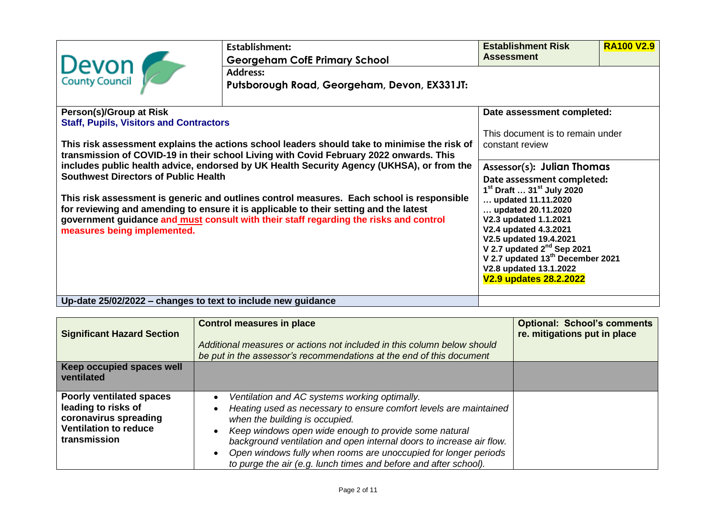| Devon                                                                                                                                                                              | Establishment:<br><b>Georgeham CofE Primary School</b><br><b>Address:</b>                                                                                                              | <b>Establishment Risk</b><br><b>Assessment</b>      | <b>RA100 V2.9</b> |
|------------------------------------------------------------------------------------------------------------------------------------------------------------------------------------|----------------------------------------------------------------------------------------------------------------------------------------------------------------------------------------|-----------------------------------------------------|-------------------|
|                                                                                                                                                                                    | Putsborough Road, Georgeham, Devon, EX331JT:                                                                                                                                           |                                                     |                   |
| Person(s)/Group at Risk                                                                                                                                                            |                                                                                                                                                                                        | Date assessment completed:                          |                   |
| <b>Staff, Pupils, Visitors and Contractors</b>                                                                                                                                     | This risk assessment explains the actions school leaders should take to minimise the risk of<br>transmission of COVID-19 in their school Living with Covid February 2022 onwards. This | This document is to remain under<br>constant review |                   |
| includes public health advice, endorsed by UK Health Security Agency (UKHSA), or from the<br><b>Southwest Directors of Public Health</b>                                           | Assessor(s): Julian Thomas<br>Date assessment completed:<br>1 <sup>st</sup> Draft  31 <sup>st</sup> July 2020                                                                          |                                                     |                   |
| This risk assessment is generic and outlines control measures. Each school is responsible<br>for reviewing and amending to ensure it is applicable to their setting and the latest | updated 11.11.2020<br>updated 20.11.2020                                                                                                                                               |                                                     |                   |
| government guidance and must consult with their staff regarding the risks and control<br>measures being implemented.                                                               | V2.3 updated 1.1.2021<br>V2.4 updated 4.3.2021<br>V2.5 updated 19.4.2021                                                                                                               |                                                     |                   |
|                                                                                                                                                                                    | V 2.7 updated $2^{nd}$ Sep 2021<br>V 2.7 updated 13 <sup>th</sup> December 2021<br>V2.8 updated 13.1.2022<br>V2.9 updates 28.2.2022                                                    |                                                     |                   |
| Up-date 25/02/2022 - changes to text to include new guidance                                                                                                                       |                                                                                                                                                                                        |                                                     |                   |

| <b>Significant Hazard Section</b>                                                                                               | <b>Control measures in place</b><br>Additional measures or actions not included in this column below should<br>be put in the assessor's recommendations at the end of this document                                                                                                                                                                                                                                          | <b>Optional: School's comments</b><br>re. mitigations put in place |
|---------------------------------------------------------------------------------------------------------------------------------|------------------------------------------------------------------------------------------------------------------------------------------------------------------------------------------------------------------------------------------------------------------------------------------------------------------------------------------------------------------------------------------------------------------------------|--------------------------------------------------------------------|
| Keep occupied spaces well                                                                                                       |                                                                                                                                                                                                                                                                                                                                                                                                                              |                                                                    |
| ventilated                                                                                                                      |                                                                                                                                                                                                                                                                                                                                                                                                                              |                                                                    |
| <b>Poorly ventilated spaces</b><br>leading to risks of<br>coronavirus spreading<br><b>Ventilation to reduce</b><br>transmission | Ventilation and AC systems working optimally.<br>Heating used as necessary to ensure comfort levels are maintained<br>when the building is occupied.<br>Keep windows open wide enough to provide some natural<br>background ventilation and open internal doors to increase air flow.<br>Open windows fully when rooms are unoccupied for longer periods<br>to purge the air (e.g. lunch times and before and after school). |                                                                    |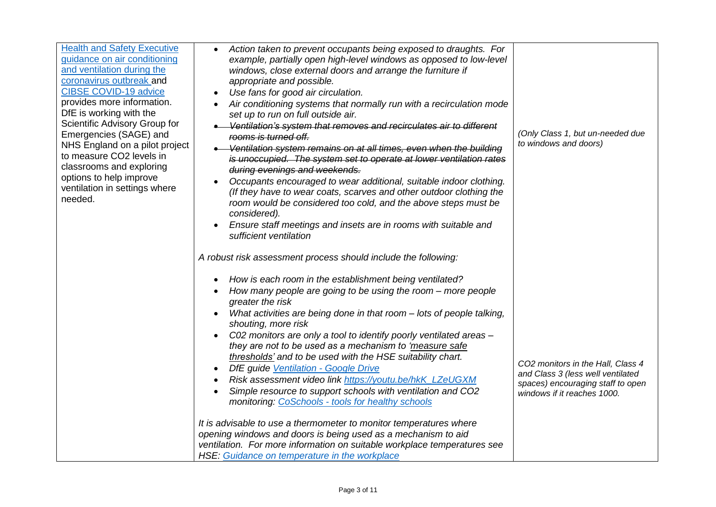| <b>Health and Safety Executive</b><br>guidance on air conditioning<br>and ventilation during the<br>coronavirus outbreak and<br><b>CIBSE COVID-19 advice</b><br>provides more information.<br>DfE is working with the<br>Scientific Advisory Group for<br>Emergencies (SAGE) and<br>NHS England on a pilot project<br>to measure CO2 levels in<br>classrooms and exploring<br>options to help improve<br>ventilation in settings where<br>needed. | Action taken to prevent occupants being exposed to draughts. For<br>$\bullet$<br>example, partially open high-level windows as opposed to low-level<br>windows, close external doors and arrange the furniture if<br>appropriate and possible.<br>Use fans for good air circulation.<br>Air conditioning systems that normally run with a recirculation mode<br>set up to run on full outside air.<br>Ventilation's system that removes and recirculates air to different<br>rooms is turned off.<br>Ventilation system remains on at all times, even when the building<br>is unoccupied. The system set to operate at lower ventilation rates<br>during evenings and weekends.<br>Occupants encouraged to wear additional, suitable indoor clothing.<br>(If they have to wear coats, scarves and other outdoor clothing the<br>room would be considered too cold, and the above steps must be<br>considered).<br>Ensure staff meetings and insets are in rooms with suitable and<br>sufficient ventilation<br>A robust risk assessment process should include the following: | (Only Class 1, but un-needed due<br>to windows and doors)                                                                                  |
|---------------------------------------------------------------------------------------------------------------------------------------------------------------------------------------------------------------------------------------------------------------------------------------------------------------------------------------------------------------------------------------------------------------------------------------------------|-------------------------------------------------------------------------------------------------------------------------------------------------------------------------------------------------------------------------------------------------------------------------------------------------------------------------------------------------------------------------------------------------------------------------------------------------------------------------------------------------------------------------------------------------------------------------------------------------------------------------------------------------------------------------------------------------------------------------------------------------------------------------------------------------------------------------------------------------------------------------------------------------------------------------------------------------------------------------------------------------------------------------------------------------------------------------------|--------------------------------------------------------------------------------------------------------------------------------------------|
|                                                                                                                                                                                                                                                                                                                                                                                                                                                   | How is each room in the establishment being ventilated?<br>How many people are going to be using the room – more people<br>greater the risk<br>What activities are being done in that room - lots of people talking,<br>shouting, more risk<br>C02 monitors are only a tool to identify poorly ventilated areas -<br>they are not to be used as a mechanism to 'measure safe<br>thresholds' and to be used with the HSE suitability chart.<br>DfE guide Ventilation - Google Drive<br>Risk assessment video link https://youtu.be/hkK_LZeUGXM<br>Simple resource to support schools with ventilation and CO2<br>monitoring: CoSchools - tools for healthy schools<br>It is advisable to use a thermometer to monitor temperatures where<br>opening windows and doors is being used as a mechanism to aid<br>ventilation. For more information on suitable workplace temperatures see<br><b>HSE:</b> Guidance on temperature in the workplace                                                                                                                                  | CO2 monitors in the Hall, Class 4<br>and Class 3 (less well ventilated<br>spaces) encouraging staff to open<br>windows if it reaches 1000. |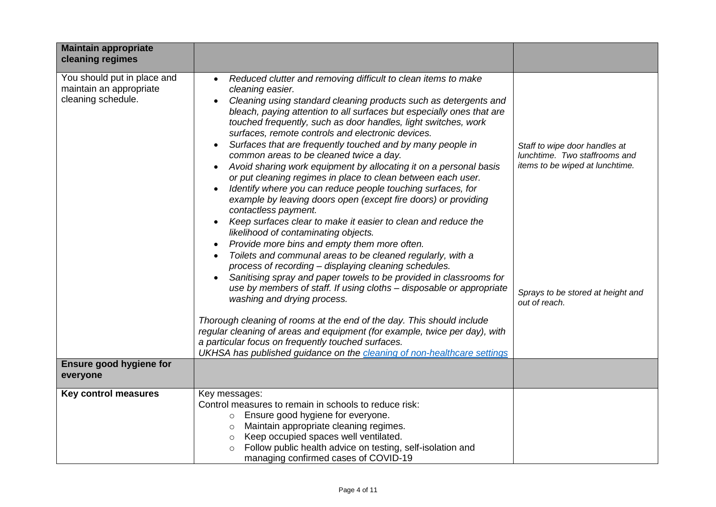| <b>Maintain appropriate</b><br>cleaning regimes                              |                                                                                                                                                                                                                                                                                                                                                                                                                                                                                                                                                                                                                                                                                                                                                                                                                                                                                                                                                                                                                                                                                                                                                                                                                                                                                                                                                                                                            |                                                                                                                                                         |
|------------------------------------------------------------------------------|------------------------------------------------------------------------------------------------------------------------------------------------------------------------------------------------------------------------------------------------------------------------------------------------------------------------------------------------------------------------------------------------------------------------------------------------------------------------------------------------------------------------------------------------------------------------------------------------------------------------------------------------------------------------------------------------------------------------------------------------------------------------------------------------------------------------------------------------------------------------------------------------------------------------------------------------------------------------------------------------------------------------------------------------------------------------------------------------------------------------------------------------------------------------------------------------------------------------------------------------------------------------------------------------------------------------------------------------------------------------------------------------------------|---------------------------------------------------------------------------------------------------------------------------------------------------------|
| You should put in place and<br>maintain an appropriate<br>cleaning schedule. | Reduced clutter and removing difficult to clean items to make<br>$\bullet$<br>cleaning easier.<br>Cleaning using standard cleaning products such as detergents and<br>bleach, paying attention to all surfaces but especially ones that are<br>touched frequently, such as door handles, light switches, work<br>surfaces, remote controls and electronic devices.<br>Surfaces that are frequently touched and by many people in<br>common areas to be cleaned twice a day.<br>Avoid sharing work equipment by allocating it on a personal basis<br>or put cleaning regimes in place to clean between each user.<br>Identify where you can reduce people touching surfaces, for<br>example by leaving doors open (except fire doors) or providing<br>contactless payment.<br>Keep surfaces clear to make it easier to clean and reduce the<br>likelihood of contaminating objects.<br>Provide more bins and empty them more often.<br>$\bullet$<br>Toilets and communal areas to be cleaned regularly, with a<br>process of recording - displaying cleaning schedules.<br>Sanitising spray and paper towels to be provided in classrooms for<br>use by members of staff. If using cloths - disposable or appropriate<br>washing and drying process.<br>Thorough cleaning of rooms at the end of the day. This should include<br>regular cleaning of areas and equipment (for example, twice per day), with | Staff to wipe door handles at<br>lunchtime. Two staffrooms and<br>items to be wiped at lunchtime.<br>Sprays to be stored at height and<br>out of reach. |
|                                                                              | a particular focus on frequently touched surfaces.<br>UKHSA has published guidance on the cleaning of non-healthcare settings                                                                                                                                                                                                                                                                                                                                                                                                                                                                                                                                                                                                                                                                                                                                                                                                                                                                                                                                                                                                                                                                                                                                                                                                                                                                              |                                                                                                                                                         |
| <b>Ensure good hygiene for</b><br>everyone                                   |                                                                                                                                                                                                                                                                                                                                                                                                                                                                                                                                                                                                                                                                                                                                                                                                                                                                                                                                                                                                                                                                                                                                                                                                                                                                                                                                                                                                            |                                                                                                                                                         |
| <b>Key control measures</b>                                                  | Key messages:<br>Control measures to remain in schools to reduce risk:<br>o Ensure good hygiene for everyone.<br>Maintain appropriate cleaning regimes.<br>$\circ$<br>Keep occupied spaces well ventilated.<br>$\circ$<br>Follow public health advice on testing, self-isolation and<br>$\circ$<br>managing confirmed cases of COVID-19                                                                                                                                                                                                                                                                                                                                                                                                                                                                                                                                                                                                                                                                                                                                                                                                                                                                                                                                                                                                                                                                    |                                                                                                                                                         |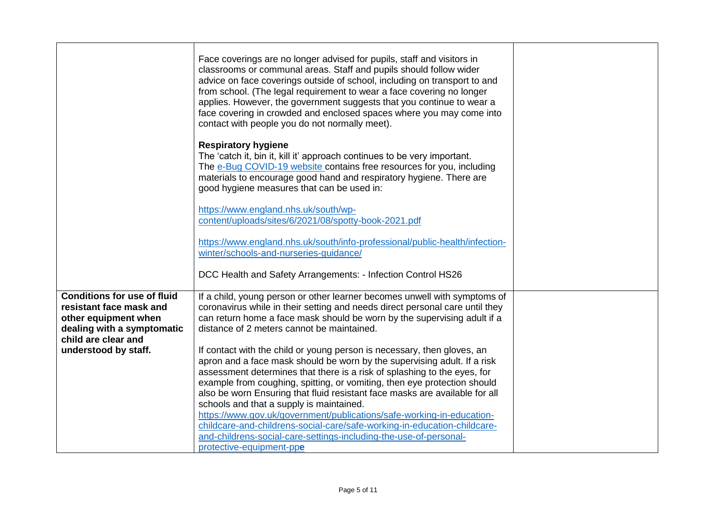|                                                                                                                                                                    | Face coverings are no longer advised for pupils, staff and visitors in<br>classrooms or communal areas. Staff and pupils should follow wider<br>advice on face coverings outside of school, including on transport to and<br>from school. (The legal requirement to wear a face covering no longer<br>applies. However, the government suggests that you continue to wear a<br>face covering in crowded and enclosed spaces where you may come into<br>contact with people you do not normally meet).                                                                                                                                                                                                                                                                                                                                                                                                                                                   |  |
|--------------------------------------------------------------------------------------------------------------------------------------------------------------------|---------------------------------------------------------------------------------------------------------------------------------------------------------------------------------------------------------------------------------------------------------------------------------------------------------------------------------------------------------------------------------------------------------------------------------------------------------------------------------------------------------------------------------------------------------------------------------------------------------------------------------------------------------------------------------------------------------------------------------------------------------------------------------------------------------------------------------------------------------------------------------------------------------------------------------------------------------|--|
|                                                                                                                                                                    | <b>Respiratory hygiene</b><br>The 'catch it, bin it, kill it' approach continues to be very important.<br>The e-Bug COVID-19 website contains free resources for you, including<br>materials to encourage good hand and respiratory hygiene. There are<br>good hygiene measures that can be used in:                                                                                                                                                                                                                                                                                                                                                                                                                                                                                                                                                                                                                                                    |  |
|                                                                                                                                                                    | https://www.england.nhs.uk/south/wp-<br>content/uploads/sites/6/2021/08/spotty-book-2021.pdf                                                                                                                                                                                                                                                                                                                                                                                                                                                                                                                                                                                                                                                                                                                                                                                                                                                            |  |
|                                                                                                                                                                    | https://www.england.nhs.uk/south/info-professional/public-health/infection-<br>winter/schools-and-nurseries-guidance/                                                                                                                                                                                                                                                                                                                                                                                                                                                                                                                                                                                                                                                                                                                                                                                                                                   |  |
|                                                                                                                                                                    | DCC Health and Safety Arrangements: - Infection Control HS26                                                                                                                                                                                                                                                                                                                                                                                                                                                                                                                                                                                                                                                                                                                                                                                                                                                                                            |  |
| <b>Conditions for use of fluid</b><br>resistant face mask and<br>other equipment when<br>dealing with a symptomatic<br>child are clear and<br>understood by staff. | If a child, young person or other learner becomes unwell with symptoms of<br>coronavirus while in their setting and needs direct personal care until they<br>can return home a face mask should be worn by the supervising adult if a<br>distance of 2 meters cannot be maintained.<br>If contact with the child or young person is necessary, then gloves, an<br>apron and a face mask should be worn by the supervising adult. If a risk<br>assessment determines that there is a risk of splashing to the eyes, for<br>example from coughing, spitting, or vomiting, then eye protection should<br>also be worn Ensuring that fluid resistant face masks are available for all<br>schools and that a supply is maintained.<br>https://www.gov.uk/government/publications/safe-working-in-education-<br>childcare-and-childrens-social-care/safe-working-in-education-childcare-<br>and-childrens-social-care-settings-including-the-use-of-personal- |  |
|                                                                                                                                                                    | protective-equipment-ppe                                                                                                                                                                                                                                                                                                                                                                                                                                                                                                                                                                                                                                                                                                                                                                                                                                                                                                                                |  |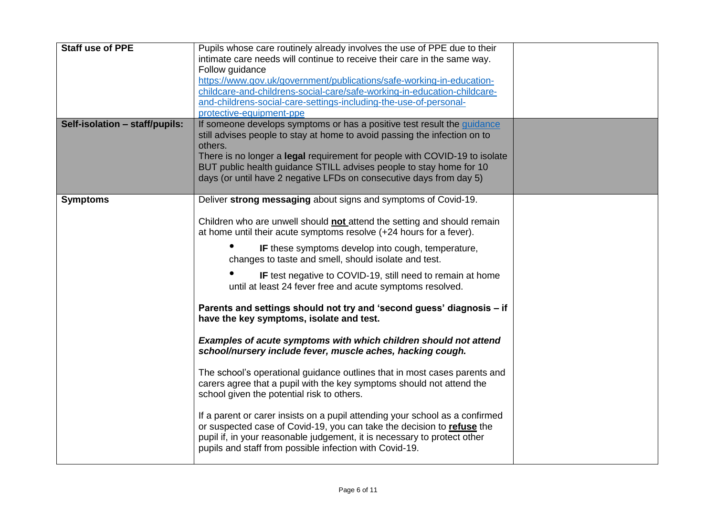| <b>Staff use of PPE</b>        | Pupils whose care routinely already involves the use of PPE due to their<br>intimate care needs will continue to receive their care in the same way.<br>Follow guidance<br>https://www.qov.uk/government/publications/safe-working-in-education-<br>childcare-and-childrens-social-care/safe-working-in-education-childcare-<br>and-childrens-social-care-settings-including-the-use-of-personal-<br>protective-equipment-ppe                                                                                                                                                                                                                                                                                                                                                                                                                                                                                                                                                                                                                                                                                                                                                                                         |  |
|--------------------------------|-----------------------------------------------------------------------------------------------------------------------------------------------------------------------------------------------------------------------------------------------------------------------------------------------------------------------------------------------------------------------------------------------------------------------------------------------------------------------------------------------------------------------------------------------------------------------------------------------------------------------------------------------------------------------------------------------------------------------------------------------------------------------------------------------------------------------------------------------------------------------------------------------------------------------------------------------------------------------------------------------------------------------------------------------------------------------------------------------------------------------------------------------------------------------------------------------------------------------|--|
| Self-isolation - staff/pupils: | If someone develops symptoms or has a positive test result the guidance<br>still advises people to stay at home to avoid passing the infection on to<br>others.<br>There is no longer a legal requirement for people with COVID-19 to isolate<br>BUT public health guidance STILL advises people to stay home for 10<br>days (or until have 2 negative LFDs on consecutive days from day 5)                                                                                                                                                                                                                                                                                                                                                                                                                                                                                                                                                                                                                                                                                                                                                                                                                           |  |
| <b>Symptoms</b>                | Deliver strong messaging about signs and symptoms of Covid-19.<br>Children who are unwell should not attend the setting and should remain<br>at home until their acute symptoms resolve (+24 hours for a fever).<br>IF these symptoms develop into cough, temperature,<br>changes to taste and smell, should isolate and test.<br>IF test negative to COVID-19, still need to remain at home<br>until at least 24 fever free and acute symptoms resolved.<br>Parents and settings should not try and 'second guess' diagnosis - if<br>have the key symptoms, isolate and test.<br>Examples of acute symptoms with which children should not attend<br>school/nursery include fever, muscle aches, hacking cough.<br>The school's operational guidance outlines that in most cases parents and<br>carers agree that a pupil with the key symptoms should not attend the<br>school given the potential risk to others.<br>If a parent or carer insists on a pupil attending your school as a confirmed<br>or suspected case of Covid-19, you can take the decision to refuse the<br>pupil if, in your reasonable judgement, it is necessary to protect other<br>pupils and staff from possible infection with Covid-19. |  |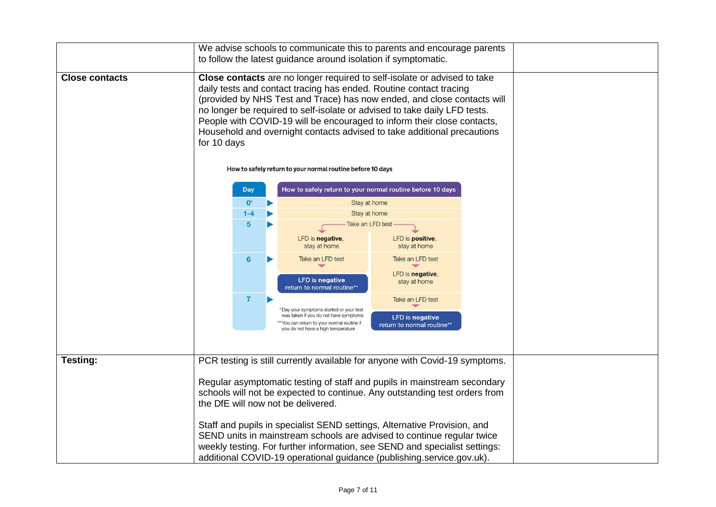|                       |  | We advise schools to communicate this to parents and encourage parents<br>to follow the latest guidance around isolation if symptomatic.                                                                                                                                                                                                                                                                                                                                    |  |                                                                                                                                                                    |                                                                          |  |  |
|-----------------------|--|-----------------------------------------------------------------------------------------------------------------------------------------------------------------------------------------------------------------------------------------------------------------------------------------------------------------------------------------------------------------------------------------------------------------------------------------------------------------------------|--|--------------------------------------------------------------------------------------------------------------------------------------------------------------------|--------------------------------------------------------------------------|--|--|
| <b>Close contacts</b> |  | Close contacts are no longer required to self-isolate or advised to take<br>daily tests and contact tracing has ended. Routine contact tracing<br>(provided by NHS Test and Trace) has now ended, and close contacts will<br>no longer be required to self-isolate or advised to take daily LFD tests.<br>People with COVID-19 will be encouraged to inform their close contacts,<br>Household and overnight contacts advised to take additional precautions<br>for 10 days |  |                                                                                                                                                                    |                                                                          |  |  |
|                       |  |                                                                                                                                                                                                                                                                                                                                                                                                                                                                             |  | How to safely return to your normal routine before 10 days                                                                                                         |                                                                          |  |  |
|                       |  | <b>Day</b>                                                                                                                                                                                                                                                                                                                                                                                                                                                                  |  | How to safely return to your normal routine before 10 days                                                                                                         |                                                                          |  |  |
|                       |  | $0^*$<br>$1 - 4$                                                                                                                                                                                                                                                                                                                                                                                                                                                            |  | Stay at home<br>Stay at home                                                                                                                                       |                                                                          |  |  |
|                       |  | 5                                                                                                                                                                                                                                                                                                                                                                                                                                                                           |  |                                                                                                                                                                    | Take an LFD test                                                         |  |  |
|                       |  |                                                                                                                                                                                                                                                                                                                                                                                                                                                                             |  | LFD is negative,<br>stay at home                                                                                                                                   | LFD is positive,<br>stay at home                                         |  |  |
|                       |  | 6                                                                                                                                                                                                                                                                                                                                                                                                                                                                           |  | Take an LFD test<br><b>LFD</b> is negative<br>return to normal routine**                                                                                           | Take an LFD test<br>LFD is negative,<br>stay at home                     |  |  |
|                       |  | $\overline{7}$                                                                                                                                                                                                                                                                                                                                                                                                                                                              |  | *Day your symptoms started or your test<br>was taken if you do not have symptoms<br>You can return to your normal routine if<br>you do not have a high temperature | Take an LFD test<br><b>LFD</b> is negative<br>return to normal routine** |  |  |
|                       |  |                                                                                                                                                                                                                                                                                                                                                                                                                                                                             |  |                                                                                                                                                                    |                                                                          |  |  |
| Testing:              |  | PCR testing is still currently available for anyone with Covid-19 symptoms.                                                                                                                                                                                                                                                                                                                                                                                                 |  |                                                                                                                                                                    |                                                                          |  |  |
|                       |  | Regular asymptomatic testing of staff and pupils in mainstream secondary<br>schools will not be expected to continue. Any outstanding test orders from<br>the DfE will now not be delivered.                                                                                                                                                                                                                                                                                |  |                                                                                                                                                                    |                                                                          |  |  |
|                       |  | Staff and pupils in specialist SEND settings, Alternative Provision, and<br>SEND units in mainstream schools are advised to continue regular twice<br>weekly testing. For further information, see SEND and specialist settings:<br>additional COVID-19 operational guidance (publishing.service.gov.uk).                                                                                                                                                                   |  |                                                                                                                                                                    |                                                                          |  |  |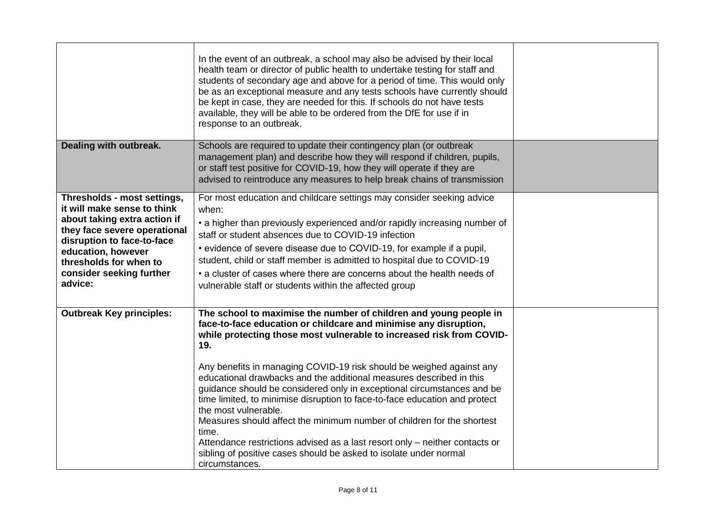|                                                                                                                                                                                                                                                 | In the event of an outbreak, a school may also be advised by their local<br>health team or director of public health to undertake testing for staff and<br>students of secondary age and above for a period of time. This would only<br>be as an exceptional measure and any tests schools have currently should<br>be kept in case, they are needed for this. If schools do not have tests<br>available, they will be able to be ordered from the DfE for use if in<br>response to an outbreak.                                                                                                                                                                                                                                                                                                             |  |
|-------------------------------------------------------------------------------------------------------------------------------------------------------------------------------------------------------------------------------------------------|--------------------------------------------------------------------------------------------------------------------------------------------------------------------------------------------------------------------------------------------------------------------------------------------------------------------------------------------------------------------------------------------------------------------------------------------------------------------------------------------------------------------------------------------------------------------------------------------------------------------------------------------------------------------------------------------------------------------------------------------------------------------------------------------------------------|--|
| Dealing with outbreak.                                                                                                                                                                                                                          | Schools are required to update their contingency plan (or outbreak<br>management plan) and describe how they will respond if children, pupils,<br>or staff test positive for COVID-19, how they will operate if they are<br>advised to reintroduce any measures to help break chains of transmission                                                                                                                                                                                                                                                                                                                                                                                                                                                                                                         |  |
| Thresholds - most settings,<br>it will make sense to think<br>about taking extra action if<br>they face severe operational<br>disruption to face-to-face<br>education, however<br>thresholds for when to<br>consider seeking further<br>advice: | For most education and childcare settings may consider seeking advice<br>when:<br>• a higher than previously experienced and/or rapidly increasing number of<br>staff or student absences due to COVID-19 infection<br>• evidence of severe disease due to COVID-19, for example if a pupil,<br>student, child or staff member is admitted to hospital due to COVID-19<br>• a cluster of cases where there are concerns about the health needs of<br>vulnerable staff or students within the affected group                                                                                                                                                                                                                                                                                                  |  |
| <b>Outbreak Key principles:</b>                                                                                                                                                                                                                 | The school to maximise the number of children and young people in<br>face-to-face education or childcare and minimise any disruption,<br>while protecting those most vulnerable to increased risk from COVID-<br>19.<br>Any benefits in managing COVID-19 risk should be weighed against any<br>educational drawbacks and the additional measures described in this<br>guidance should be considered only in exceptional circumstances and be<br>time limited, to minimise disruption to face-to-face education and protect<br>the most vulnerable.<br>Measures should affect the minimum number of children for the shortest<br>time.<br>Attendance restrictions advised as a last resort only - neither contacts or<br>sibling of positive cases should be asked to isolate under normal<br>circumstances. |  |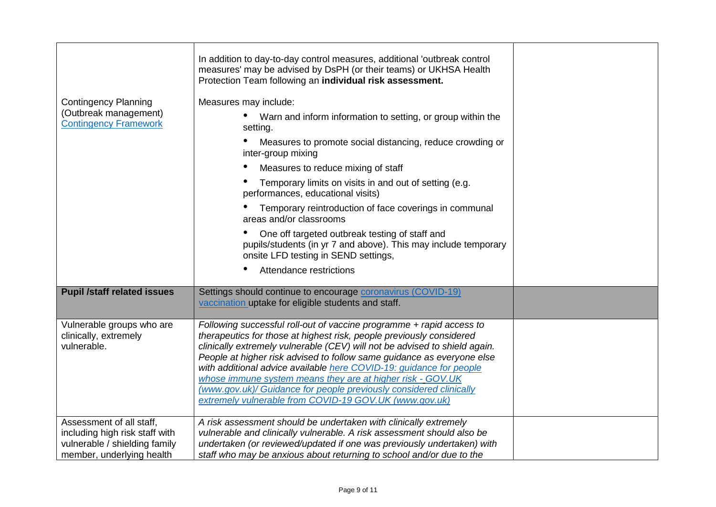| <b>Contingency Planning</b><br>(Outbreak management)<br><b>Contingency Framework</b>                                     | In addition to day-to-day control measures, additional 'outbreak control<br>measures' may be advised by DsPH (or their teams) or UKHSA Health<br>Protection Team following an individual risk assessment.<br>Measures may include:<br>Warn and inform information to setting, or group within the<br>$\bullet$<br>setting.<br>Measures to promote social distancing, reduce crowding or<br>inter-group mixing                                                                                                                                                             |  |
|--------------------------------------------------------------------------------------------------------------------------|---------------------------------------------------------------------------------------------------------------------------------------------------------------------------------------------------------------------------------------------------------------------------------------------------------------------------------------------------------------------------------------------------------------------------------------------------------------------------------------------------------------------------------------------------------------------------|--|
|                                                                                                                          | Measures to reduce mixing of staff                                                                                                                                                                                                                                                                                                                                                                                                                                                                                                                                        |  |
|                                                                                                                          | Temporary limits on visits in and out of setting (e.g.<br>performances, educational visits)                                                                                                                                                                                                                                                                                                                                                                                                                                                                               |  |
|                                                                                                                          | Temporary reintroduction of face coverings in communal<br>areas and/or classrooms                                                                                                                                                                                                                                                                                                                                                                                                                                                                                         |  |
|                                                                                                                          | One off targeted outbreak testing of staff and<br>pupils/students (in yr 7 and above). This may include temporary<br>onsite LFD testing in SEND settings,                                                                                                                                                                                                                                                                                                                                                                                                                 |  |
|                                                                                                                          | Attendance restrictions                                                                                                                                                                                                                                                                                                                                                                                                                                                                                                                                                   |  |
| <b>Pupil /staff related issues</b>                                                                                       | Settings should continue to encourage coronavirus (COVID-19)<br>vaccination uptake for eligible students and staff.                                                                                                                                                                                                                                                                                                                                                                                                                                                       |  |
| Vulnerable groups who are<br>clinically, extremely<br>vulnerable.                                                        | Following successful roll-out of vaccine programme + rapid access to<br>therapeutics for those at highest risk, people previously considered<br>clinically extremely vulnerable (CEV) will not be advised to shield again.<br>People at higher risk advised to follow same guidance as everyone else<br>with additional advice available here COVID-19: guidance for people<br>whose immune system means they are at higher risk - GOV.UK<br>(www.gov.uk)/ Guidance for people previously considered clinically<br>extremely vulnerable from COVID-19 GOV.UK (www.gov.uk) |  |
| Assessment of all staff,<br>including high risk staff with<br>vulnerable / shielding family<br>member, underlying health | A risk assessment should be undertaken with clinically extremely<br>vulnerable and clinically vulnerable. A risk assessment should also be<br>undertaken (or reviewed/updated if one was previously undertaken) with<br>staff who may be anxious about returning to school and/or due to the                                                                                                                                                                                                                                                                              |  |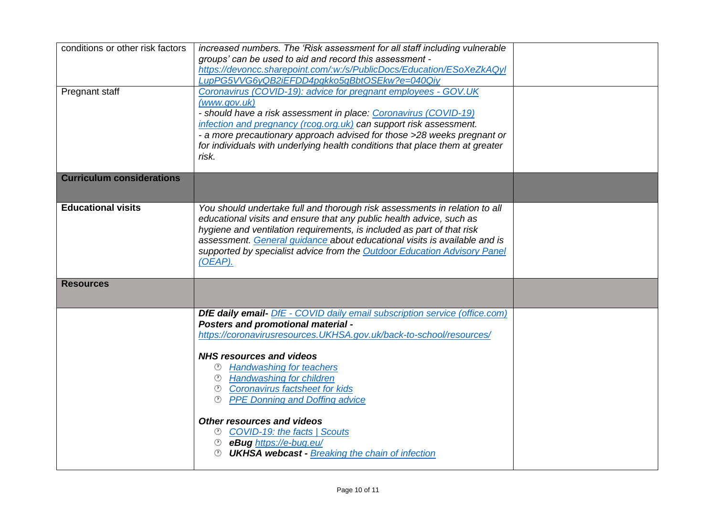| conditions or other risk factors | increased numbers. The 'Risk assessment for all staff including vulnerable        |  |
|----------------------------------|-----------------------------------------------------------------------------------|--|
|                                  | groups' can be used to aid and record this assessment -                           |  |
|                                  | https://devoncc.sharepoint.com/:w:/s/PublicDocs/Education/ESoXeZkAQyl             |  |
|                                  | LupPG5VVG6yQB2iEFDD4pgkko5qBbtOSEkw?e=040Qiy                                      |  |
| Pregnant staff                   | Coronavirus (COVID-19): advice for pregnant employees - GOV.UK                    |  |
|                                  | (www.gov.uk)                                                                      |  |
|                                  | - should have a risk assessment in place: Coronavirus (COVID-19)                  |  |
|                                  | infection and pregnancy (rcog.org.uk) can support risk assessment.                |  |
|                                  | - a more precautionary approach advised for those >28 weeks pregnant or           |  |
|                                  | for individuals with underlying health conditions that place them at greater      |  |
|                                  | risk.                                                                             |  |
|                                  |                                                                                   |  |
| <b>Curriculum considerations</b> |                                                                                   |  |
|                                  |                                                                                   |  |
|                                  |                                                                                   |  |
| <b>Educational visits</b>        | You should undertake full and thorough risk assessments in relation to all        |  |
|                                  | educational visits and ensure that any public health advice, such as              |  |
|                                  | hygiene and ventilation requirements, is included as part of that risk            |  |
|                                  | assessment. General guidance about educational visits is available and is         |  |
|                                  | supported by specialist advice from the Outdoor Education Advisory Panel          |  |
|                                  | (OEAP).                                                                           |  |
| <b>Resources</b>                 |                                                                                   |  |
|                                  |                                                                                   |  |
|                                  |                                                                                   |  |
|                                  | <b>DfE daily email-</b> DfE - COVID daily email subscription service (office.com) |  |
|                                  | <b>Posters and promotional material -</b>                                         |  |
|                                  | https://coronavirusresources.UKHSA.gov.uk/back-to-school/resources/               |  |
|                                  |                                                                                   |  |
|                                  | <b>NHS resources and videos</b>                                                   |  |
|                                  | <b>Handwashing for teachers</b>                                                   |  |
|                                  | <b>Handwashing for children</b><br>$(\Gamma)$                                     |  |
|                                  | <b>Coronavirus factsheet for kids</b>                                             |  |
|                                  | <b>PPE Donning and Doffing advice</b><br>$\mathcal{O}$                            |  |
|                                  |                                                                                   |  |
|                                  | <b>Other resources and videos</b>                                                 |  |
|                                  | <b>COVID-19: the facts   Scouts</b><br>(Y)                                        |  |
|                                  | eBug https://e-bug.eu/                                                            |  |
|                                  | <b>UKHSA webcast - Breaking the chain of infection</b>                            |  |
|                                  |                                                                                   |  |